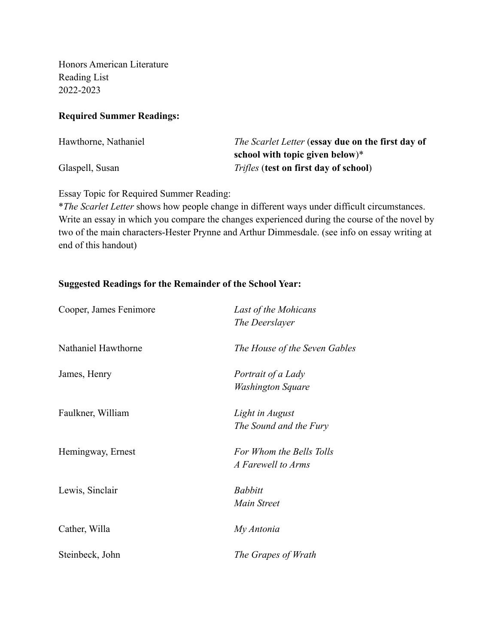Honors American Literature Reading List 2022-2023

#### **Required Summer Readings:**

| Hawthorne, Nathaniel | <i>The Scarlet Letter</i> (essay due on the first day of |
|----------------------|----------------------------------------------------------|
|                      | school with topic given below) $*$                       |
| Glaspell, Susan      | <i>Trifles</i> (test on first day of school)             |

Essay Topic for Required Summer Reading:

\**The Scarlet Letter* shows how people change in different ways under difficult circumstances. Write an essay in which you compare the changes experienced during the course of the novel by two of the main characters-Hester Prynne and Arthur Dimmesdale. (see info on essay writing at end of this handout)

### **Suggested Readings for the Remainder of the School Year:**

| Cooper, James Fenimore | Last of the Mohicans<br>The Deerslayer         |
|------------------------|------------------------------------------------|
| Nathaniel Hawthorne    | The House of the Seven Gables                  |
| James, Henry           | Portrait of a Lady<br>Washington Square        |
| Faulkner, William      | Light in August<br>The Sound and the Fury      |
| Hemingway, Ernest      | For Whom the Bells Tolls<br>A Farewell to Arms |
| Lewis, Sinclair        | <b>Babbitt</b><br>Main Street                  |
| Cather, Willa          | My Antonia                                     |
| Steinbeck, John        | The Grapes of Wrath                            |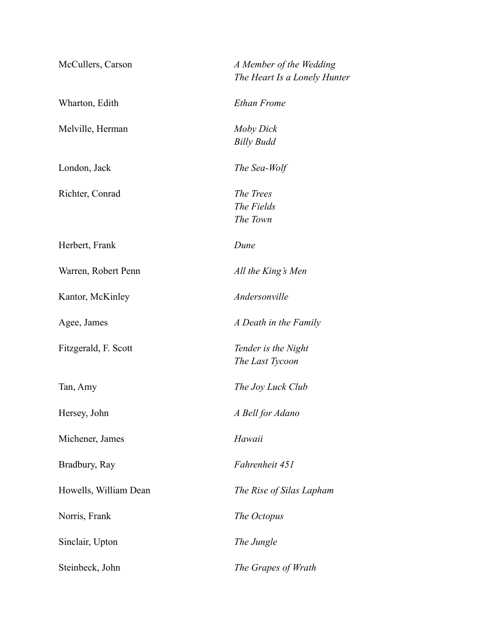| McCullers, Carson     | A Member of the Wedding<br>The Heart Is a Lonely Hunter |
|-----------------------|---------------------------------------------------------|
| Wharton, Edith        | <b>Ethan Frome</b>                                      |
| Melville, Herman      | Moby Dick<br><b>Billy Budd</b>                          |
| London, Jack          | The Sea-Wolf                                            |
| Richter, Conrad       | The Trees<br>The Fields<br>The Town                     |
| Herbert, Frank        | Dune                                                    |
| Warren, Robert Penn   | All the King's Men                                      |
| Kantor, McKinley      | Andersonville                                           |
| Agee, James           | A Death in the Family                                   |
| Fitzgerald, F. Scott  | Tender is the Night<br>The Last Tycoon                  |
| Tan, Amy              | The Joy Luck Club                                       |
| Hersey, John          | A Bell for Adano                                        |
| Michener, James       | Hawaii                                                  |
| Bradbury, Ray         | Fahrenheit 451                                          |
| Howells, William Dean | The Rise of Silas Lapham                                |
| Norris, Frank         | The Octopus                                             |
| Sinclair, Upton       | The Jungle                                              |
| Steinbeck, John       | The Grapes of Wrath                                     |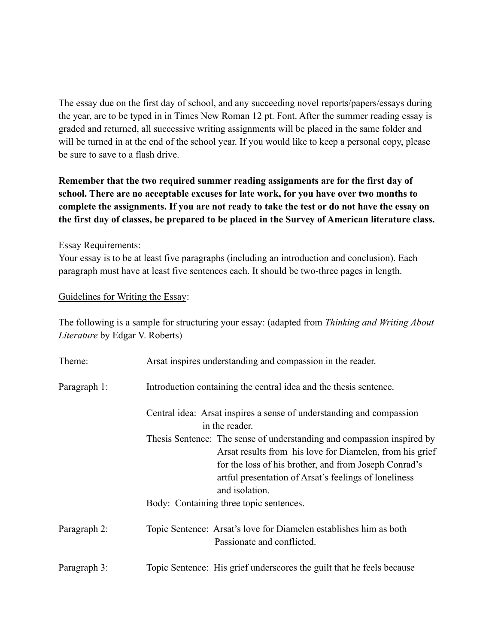The essay due on the first day of school, and any succeeding novel reports/papers/essays during the year, are to be typed in in Times New Roman 12 pt. Font. After the summer reading essay is graded and returned, all successive writing assignments will be placed in the same folder and will be turned in at the end of the school year. If you would like to keep a personal copy, please be sure to save to a flash drive.

# **Remember that the two required summer reading assignments are for the first day of school. There are no acceptable excuses for late work, for you have over two months to complete the assignments. If you are not ready to take the test or do not have the essay on the first day of classes, be prepared to be placed in the Survey of American literature class.**

Essay Requirements:

Your essay is to be at least five paragraphs (including an introduction and conclusion). Each paragraph must have at least five sentences each. It should be two-three pages in length.

### Guidelines for Writing the Essay:

The following is a sample for structuring your essay: (adapted from *Thinking and Writing About Literature* by Edgar V. Roberts)

| Theme:       | Arsat inspires understanding and compassion in the reader.                                                                                                                                                                                                             |
|--------------|------------------------------------------------------------------------------------------------------------------------------------------------------------------------------------------------------------------------------------------------------------------------|
| Paragraph 1: | Introduction containing the central idea and the thesis sentence.                                                                                                                                                                                                      |
|              | Central idea: Arsat inspires a sense of understanding and compassion<br>in the reader.                                                                                                                                                                                 |
|              | Thesis Sentence: The sense of understanding and compassion inspired by<br>Arsat results from his love for Diamelen, from his grief<br>for the loss of his brother, and from Joseph Conrad's<br>artful presentation of Arsat's feelings of loneliness<br>and isolation. |
|              | Body: Containing three topic sentences.                                                                                                                                                                                                                                |
| Paragraph 2: | Topic Sentence: Arsat's love for Diamelen establishes him as both<br>Passionate and conflicted.                                                                                                                                                                        |
| Paragraph 3: | Topic Sentence: His grief underscores the guilt that he feels because                                                                                                                                                                                                  |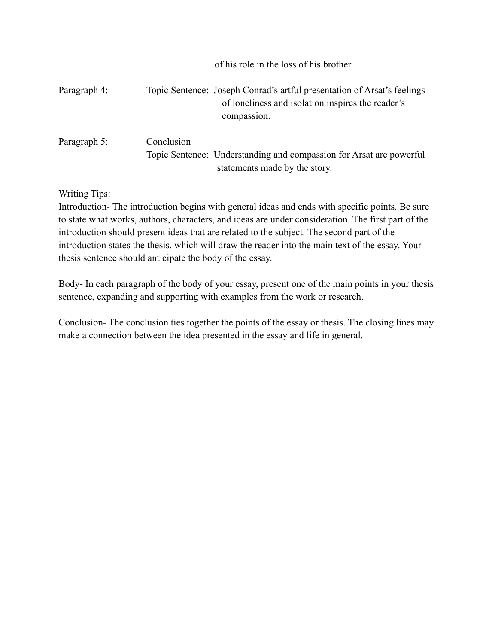|              | of his role in the loss of his brother.                                                                                                     |
|--------------|---------------------------------------------------------------------------------------------------------------------------------------------|
| Paragraph 4: | Topic Sentence: Joseph Conrad's artful presentation of Arsat's feelings<br>of loneliness and isolation inspires the reader's<br>compassion. |
| Paragraph 5: | Conclusion<br>Topic Sentence: Understanding and compassion for Arsat are powerful<br>statements made by the story.                          |

Writing Tips:

Introduction- The introduction begins with general ideas and ends with specific points. Be sure to state what works, authors, characters, and ideas are under consideration. The first part of the introduction should present ideas that are related to the subject. The second part of the introduction states the thesis, which will draw the reader into the main text of the essay. Your thesis sentence should anticipate the body of the essay.

Body- In each paragraph of the body of your essay, present one of the main points in your thesis sentence, expanding and supporting with examples from the work or research.

Conclusion- The conclusion ties together the points of the essay or thesis. The closing lines may make a connection between the idea presented in the essay and life in general.